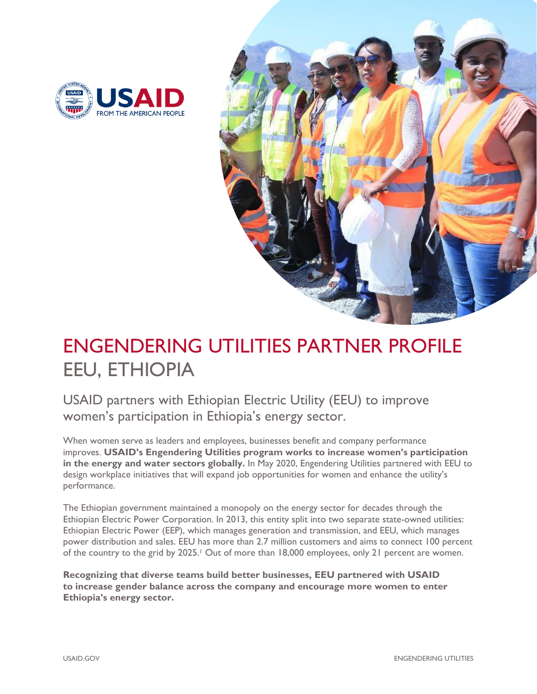



# ENGENDERING UTILITIES PARTNER PROFILE EEU, ETHIOPIA

USAID partners with Ethiopian Electric Utility (EEU) to improve women's participation in Ethiopia's energy sector.

When women serve as leaders and employees, businesses benefit and company performance improves. **USAID's Engendering Utilities program works to increase women's participation in the energy and water sectors globally.** In May 2020, Engendering Utilities partnered with EEU to design workplace initiatives that will expand job opportunities for women and enhance the utility's performance.

The Ethiopian government maintained a monopoly on the energy sector for decades through the Ethiopian Electric Power Corporation. In 2013, this entity split into two separate state-owned utilities: Ethiopian Electric Power (EEP), which manages generation and transmission, and EEU, which manages power distribution and sales. EEU has more than 2.7 million customers and aims to connect 100 percent of the country to the grid by 2025.<sup>1</sup> Out of more than 18,000 employees, only 21 percent are women.

**Recognizing that diverse teams build better businesses, EEU partnered with USAID to increase gender balance across the company and encourage more women to enter Ethiopia's energy sector.**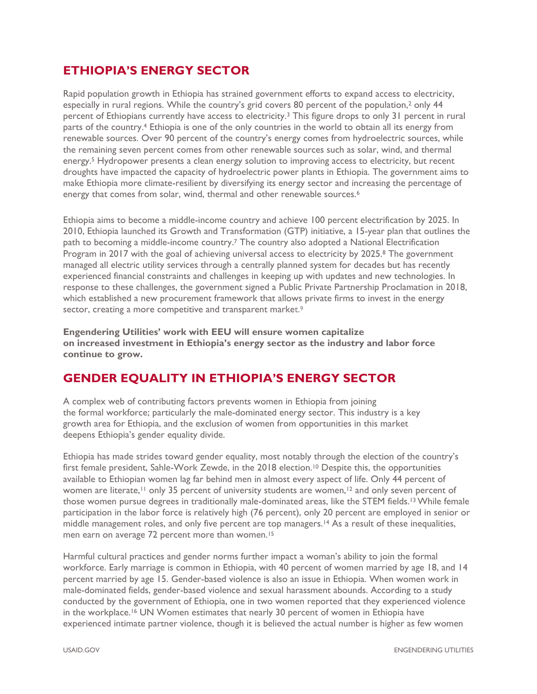# **ETHIOPIA'S ENERGY SECTOR**

Rapid population growth in Ethiopia has strained government efforts to expand access to electricity, especially in rural regions. While the country's grid covers 80 percent of the population,<sup>2</sup> only 44 percent of Ethiopians currently have access to electricity.<sup>3</sup> This figure drops to only 31 percent in rural parts of the country.<sup>4</sup> Ethiopia is one of the only countries in the world to obtain all its energy from renewable sources. Over 90 percent of the country's energy comes from hydroelectric sources, while the remaining seven percent comes from other renewable sources such as solar, wind, and thermal energy.<sup>5</sup> Hydropower presents a clean energy solution to improving access to electricity, but recent droughts have impacted the capacity of hydroelectric power plants in Ethiopia. The government aims to make Ethiopia more climate-resilient by diversifying its energy sector and increasing the percentage of energy that comes from solar, wind, thermal and other renewable sources.<sup>6</sup>

Ethiopia aims to become a middle-income country and achieve 100 percent electrification by 2025. In 2010, Ethiopia launched its Growth and Transformation (GTP) initiative, a 15-year plan that outlines the path to becoming a middle-income country.<sup>7</sup> The country also adopted a National Electrification Program in 2017 with the goal of achieving universal access to electricity by 2025.<sup>8</sup> The government managed all electric utility services through a centrally planned system for decades but has recently experienced financial constraints and challenges in keeping up with updates and new technologies. In response to these challenges, the government signed a Public Private Partnership Proclamation in 2018, which established a new procurement framework that allows private firms to invest in the energy sector, creating a more competitive and transparent market.<sup>9</sup>

**Engendering Utilities' work with EEU will ensure women capitalize on increased investment in Ethiopia's energy sector as the industry and labor force continue to grow.** 

# **GENDER EQUALITY IN ETHIOPIA'S ENERGY SECTOR**

A complex web of contributing factors prevents women in Ethiopia from joining the formal workforce; particularly the male-dominated energy sector. This industry is a key growth area for Ethiopia, and the exclusion of women from opportunities in this market deepens Ethiopia's gender equality divide.

Ethiopia has made strides toward gender equality, most notably through the election of the country's first female president, Sahle-Work Zewde, in the 2018 election.<sup>10</sup> Despite this, the opportunities available to Ethiopian women lag far behind men in almost every aspect of life. Only 44 percent of women are literate,<sup>11</sup> only 35 percent of university students are women,<sup>12</sup> and only seven percent of those women pursue degrees in traditionally male-dominated areas, like the STEM fields.<sup>13</sup> While female participation in the labor force is relatively high (76 percent), only 20 percent are employed in senior or middle management roles, and only five percent are top managers. <sup>14</sup> As a result of these inequalities, men earn on average 72 percent more than women.<sup>15</sup>

Harmful cultural practices and gender norms further impact a woman's ability to join the formal workforce. Early marriage is common in Ethiopia, with 40 percent of women married by age 18, and 14 percent married by age 15. Gender-based violence is also an issue in Ethiopia. When women work in male-dominated fields, gender-based violence and sexual harassment abounds. According to a study conducted by the government of Ethiopia, one in two women reported that they experienced violence in the workplace.<sup>16</sup> UN Women estimates that nearly 30 percent of women in Ethiopia have experienced intimate partner violence, though it is believed the actual number is higher as few women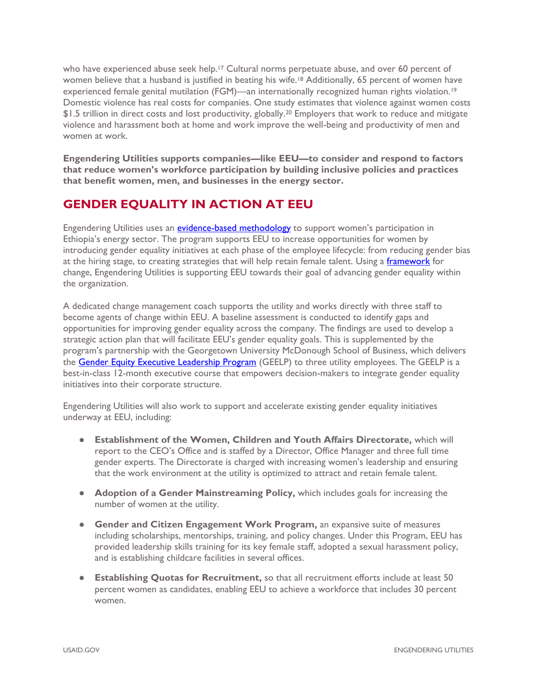who have experienced abuse seek help.<sup>17</sup> Cultural norms perpetuate abuse, and over 60 percent of women believe that a husband is justified in beating his wife.<sup>18</sup> Additionally, 65 percent of women have experienced female genital mutilation (FGM)—an internationally recognized human rights violation.<sup>19</sup> Domestic violence has real costs for companies. One study estimates that violence against women costs \$1.5 trillion in direct costs and lost productivity, globally.<sup>20</sup> Employers that work to reduce and mitigate violence and harassment both at home and work improve the well-being and productivity of men and women at work.

**Engendering Utilities supports companies—like EEU—to consider and respond to factors that reduce women's workforce participation by building inclusive policies and practices that benefit women, men, and businesses in the energy sector.**

# **GENDER EQUALITY IN ACTION AT EEU**

Engendering Utilities uses an [evidence-based methodology](https://www.usaid.gov/energy/engendering-utilities/gender-equality-best-practices-framework) to support women's participation in Ethiopia's energy sector. The program supports EEU to increase opportunities for women by introducing gender equality initiatives at each phase of the employee lifecycle: from reducing gender bias at the hiring stage, to creating strategies that will help retain female talent. Using a [framework](https://www.usaid.gov/energy/engendering-utilities/gender-equality-best-practices-framework) for change, Engendering Utilities is supporting EEU towards their goal of advancing gender equality within the organization.

A dedicated change management coach supports the utility and works directly with three staff to become agents of change within EEU. A baseline assessment is conducted to identify gaps and opportunities for improving gender equality across the company. The findings are used to develop a strategic action plan that will facilitate EEU's gender equality goals. This is supplemented by the program's partnership with the Georgetown University McDonough School of Business, which delivers the [Gender Equity Executive Leadership Program](https://www.usaid.gov/energy/engendering-utilities/leadership-program) (GEELP) to three utility employees. The GEELP is a best-in-class 12-month executive course that empowers decision-makers to integrate gender equality initiatives into their corporate structure.

Engendering Utilities will also work to support and accelerate existing gender equality initiatives underway at EEU, including:

- **Establishment of the Women, Children and Youth Affairs Directorate,** which will report to the CEO's Office and is staffed by a Director, Office Manager and three full time gender experts. The Directorate is charged with increasing women's leadership and ensuring that the work environment at the utility is optimized to attract and retain female talent.
- **Adoption of a Gender Mainstreaming Policy,** which includes goals for increasing the number of women at the utility.
- **Gender and Citizen Engagement Work Program, an expansive suite of measures** including scholarships, mentorships, training, and policy changes. Under this Program, EEU has provided leadership skills training for its key female staff, adopted a sexual harassment policy, and is establishing childcare facilities in several offices.
- **Establishing Quotas for Recruitment,** so that all recruitment efforts include at least 50 percent women as candidates, enabling EEU to achieve a workforce that includes 30 percent women.